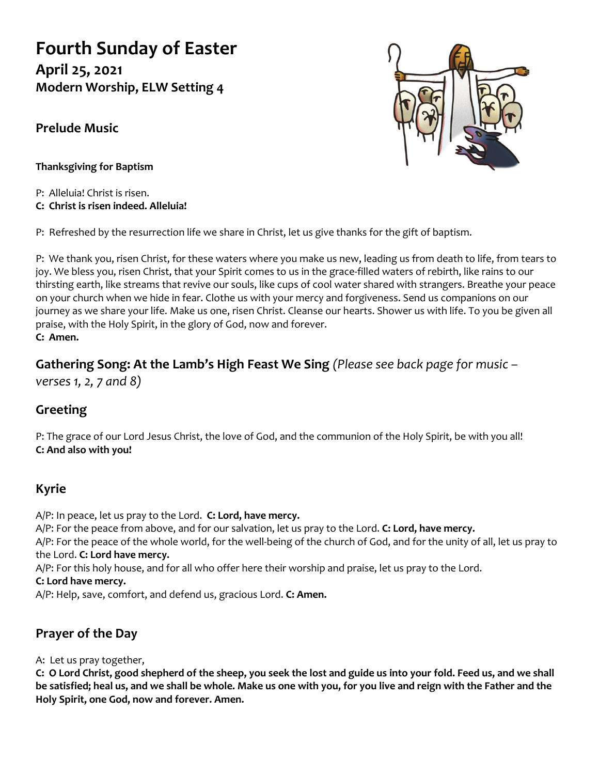# **Fourth Sunday of Easter**

**April 25, 2021 Modern Worship, ELW Setting 4**

**Prelude Music**

**Thanksgiving for Baptism**

P: Alleluia! Christ is risen. **C: Christ is risen indeed. Alleluia!**

P: Refreshed by the resurrection life we share in Christ, let us give thanks for the gift of baptism.

P: We thank you, risen Christ, for these waters where you make us new, leading us from death to life, from tears to joy. We bless you, risen Christ, that your Spirit comes to us in the grace-filled waters of rebirth, like rains to our thirsting earth, like streams that revive our souls, like cups of cool water shared with strangers. Breathe your peace on your church when we hide in fear. Clothe us with your mercy and forgiveness. Send us companions on our journey as we share your life. Make us one, risen Christ. Cleanse our hearts. Shower us with life. To you be given all praise, with the Holy Spirit, in the glory of God, now and forever. **C: Amen.**

# **Gathering Song: At the Lamb's High Feast We Sing** *(Please see back page for music –*

*verses 1, 2, 7 and 8)*

# **Greeting**

P: The grace of our Lord Jesus Christ, the love of God, and the communion of the Holy Spirit, be with you all! **C: And also with you!**

# **Kyrie**

A/P: In peace, let us pray to the Lord. **C: Lord, have mercy.**

A/P: For the peace from above, and for our salvation, let us pray to the Lord. **C: Lord, have mercy.**

A/P: For the peace of the whole world, for the well-being of the church of God, and for the unity of all, let us pray to the Lord. **C: Lord have mercy.**

A/P: For this holy house, and for all who offer here their worship and praise, let us pray to the Lord.

#### **C: Lord have mercy.**

A/P: Help, save, comfort, and defend us, gracious Lord. **C: Amen.**

# **Prayer of the Day**

A: Let us pray together,

**C: O Lord Christ, good shepherd of the sheep, you seek the lost and guide us into your fold. Feed us, and we shall be satisfied; heal us, and we shall be whole. Make us one with you, for you live and reign with the Father and the Holy Spirit, one God, now and forever. Amen.**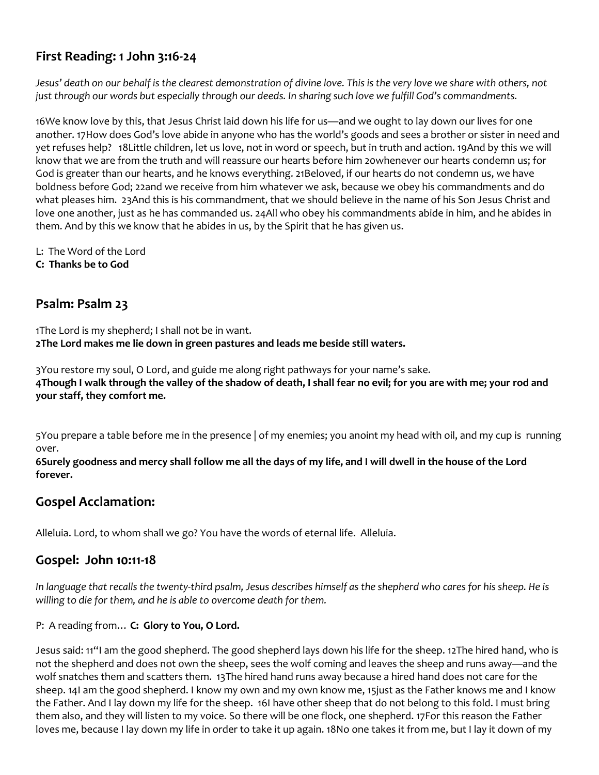# **First Reading: 1 John 3:16-24**

*Jesus' death on our behalf is the clearest demonstration of divine love. This is the very love we share with others, not just through our words but especially through our deeds. In sharing such love we fulfill God's commandments.*

16We know love by this, that Jesus Christ laid down his life for us—and we ought to lay down our lives for one another. 17How does God's love abide in anyone who has the world's goods and sees a brother or sister in need and yet refuses help? 18Little children, let us love, not in word or speech, but in truth and action. 19And by this we will know that we are from the truth and will reassure our hearts before him 20whenever our hearts condemn us; for God is greater than our hearts, and he knows everything. 21Beloved, if our hearts do not condemn us, we have boldness before God; 22and we receive from him whatever we ask, because we obey his commandments and do what pleases him. 23And this is his commandment, that we should believe in the name of his Son Jesus Christ and love one another, just as he has commanded us. 24All who obey his commandments abide in him, and he abides in them. And by this we know that he abides in us, by the Spirit that he has given us.

L: The Word of the Lord

**C: Thanks be to God**

#### **Psalm: Psalm 23**

1The Lord is my shepherd; I shall not be in want. **2The Lord makes me lie down in green pastures and leads me beside still waters.**

3You restore my soul, O Lord, and guide me along right pathways for your name's sake. **4Though I walk through the valley of the shadow of death, I shall fear no evil; for you are with me; your rod and your staff, they comfort me.**

5You prepare a table before me in the presence | of my enemies; you anoint my head with oil, and my cup is running over.

**6Surely goodness and mercy shall follow me all the days of my life, and I will dwell in the house of the Lord forever.**

#### **Gospel Acclamation:**

Alleluia. Lord, to whom shall we go? You have the words of eternal life. Alleluia.

#### **Gospel: John 10:11-18**

In language that recalls the twenty-third psalm, Jesus describes himself as the shepherd who cares for his sheep. He is *willing to die for them, and he is able to overcome death for them.*

#### P: A reading from… **C: Glory to You, O Lord.**

Jesus said: 11"I am the good shepherd. The good shepherd lays down his life for the sheep. 12The hired hand, who is not the shepherd and does not own the sheep, sees the wolf coming and leaves the sheep and runs away—and the wolf snatches them and scatters them. 13The hired hand runs away because a hired hand does not care for the sheep. 14I am the good shepherd. I know my own and my own know me, 15just as the Father knows me and I know the Father. And I lay down my life for the sheep. 16I have other sheep that do not belong to this fold. I must bring them also, and they will listen to my voice. So there will be one flock, one shepherd. 17For this reason the Father loves me, because I lay down my life in order to take it up again. 18No one takes it from me, but I lay it down of my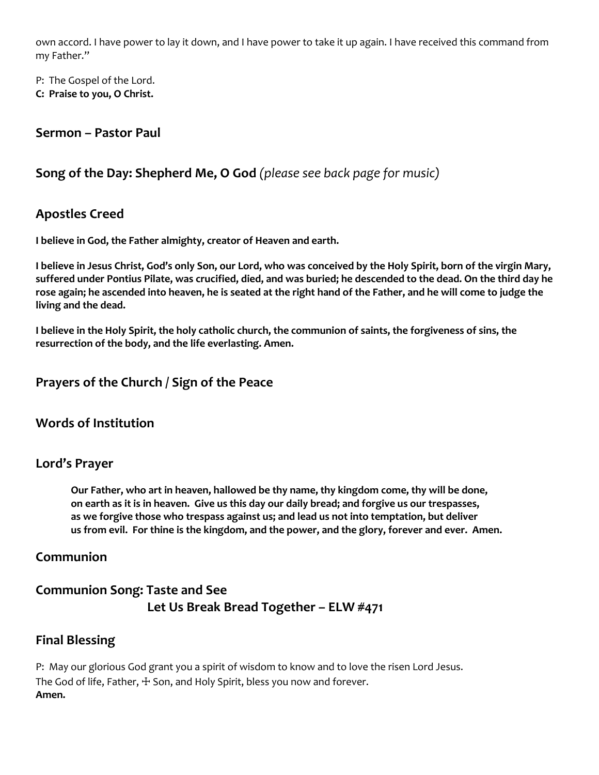own accord. I have power to lay it down, and I have power to take it up again. I have received this command from my Father."

P: The Gospel of the Lord.

**C: Praise to you, O Christ.**

### **Sermon – Pastor Paul**

# **Song of the Day: Shepherd Me, O God** *(please see back page for music)*

## **Apostles Creed**

**I believe in God, the Father almighty, creator of Heaven and earth.** 

**I believe in Jesus Christ, God's only Son, our Lord, who was conceived by the Holy Spirit, born of the virgin Mary, suffered under Pontius Pilate, was crucified, died, and was buried; he descended to the dead. On the third day he rose again; he ascended into heaven, he is seated at the right hand of the Father, and he will come to judge the living and the dead.**

**I believe in the Holy Spirit, the holy catholic church, the communion of saints, the forgiveness of sins, the resurrection of the body, and the life everlasting. Amen.**

### **Prayers of the Church / Sign of the Peace**

#### **Words of Institution**

#### **Lord's Prayer**

**Our Father, who art in heaven, hallowed be thy name, thy kingdom come, thy will be done, on earth as it is in heaven. Give us this day our daily bread; and forgive us our trespasses, as we forgive those who trespass against us; and lead us not into temptation, but deliver us from evil. For thine is the kingdom, and the power, and the glory, forever and ever. Amen.**

#### **Communion**

# **Communion Song: Taste and See Let Us Break Bread Together – ELW #471**

#### **Final Blessing**

P: May our glorious God grant you a spirit of wisdom to know and to love the risen Lord Jesus. The God of life, Father,  $\pm$  Son, and Holy Spirit, bless you now and forever. **Amen.**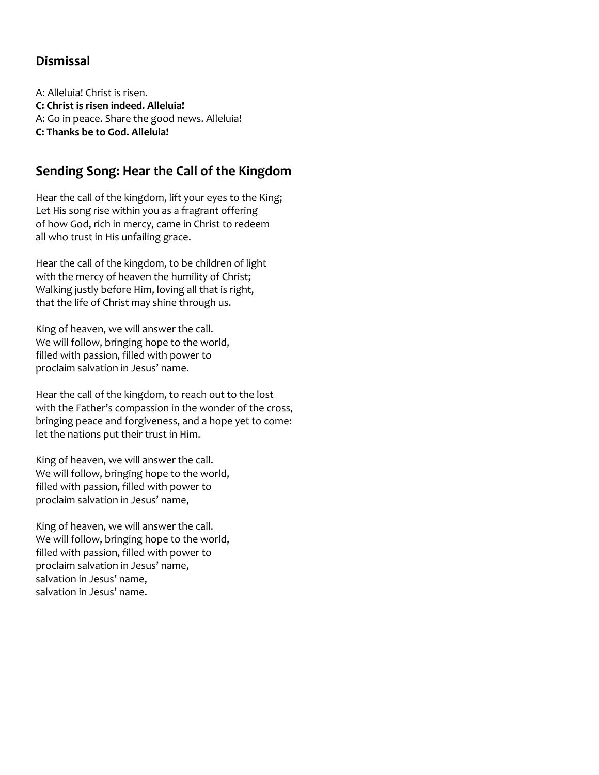## **Dismissal**

A: Alleluia! Christ is risen. **C: Christ is risen indeed. Alleluia!** A: Go in peace. Share the good news. Alleluia! **C: Thanks be to God. Alleluia!**

# **Sending Song: Hear the Call of the Kingdom**

Hear the call of the kingdom, lift your eyes to the King; Let His song rise within you as a fragrant offering of how God, rich in mercy, came in Christ to redeem all who trust in His unfailing grace.

Hear the call of the kingdom, to be children of light with the mercy of heaven the humility of Christ; Walking justly before Him, loving all that is right, that the life of Christ may shine through us.

King of heaven, we will answer the call. We will follow, bringing hope to the world, filled with passion, filled with power to proclaim salvation in Jesus' name.

Hear the call of the kingdom, to reach out to the lost with the Father's compassion in the wonder of the cross, bringing peace and forgiveness, and a hope yet to come: let the nations put their trust in Him.

King of heaven, we will answer the call. We will follow, bringing hope to the world, filled with passion, filled with power to proclaim salvation in Jesus' name,

King of heaven, we will answer the call. We will follow, bringing hope to the world, filled with passion, filled with power to proclaim salvation in Jesus' name, salvation in Jesus' name, salvation in Jesus' name.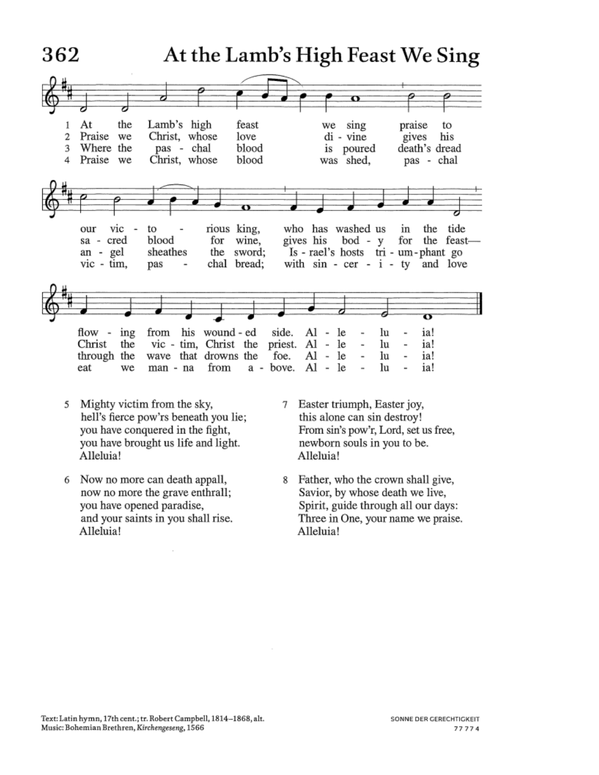

- Mighty victim from the sky, 5 hell's fierce pow'rs beneath you lie; you have conquered in the fight, you have brought us life and light. Alleluia!
- 6 Now no more can death appall, now no more the grave enthrall; you have opened paradise, and your saints in you shall rise. Alleluia!
- Easter triumph, Easter joy,  $\tau$ this alone can sin destroy! From sin's pow'r, Lord, set us free, newborn souls in you to be. Alleluia!
- 8 Father, who the crown shall give, Savior, by whose death we live, Spirit, guide through all our days: Three in One, your name we praise. Alleluia!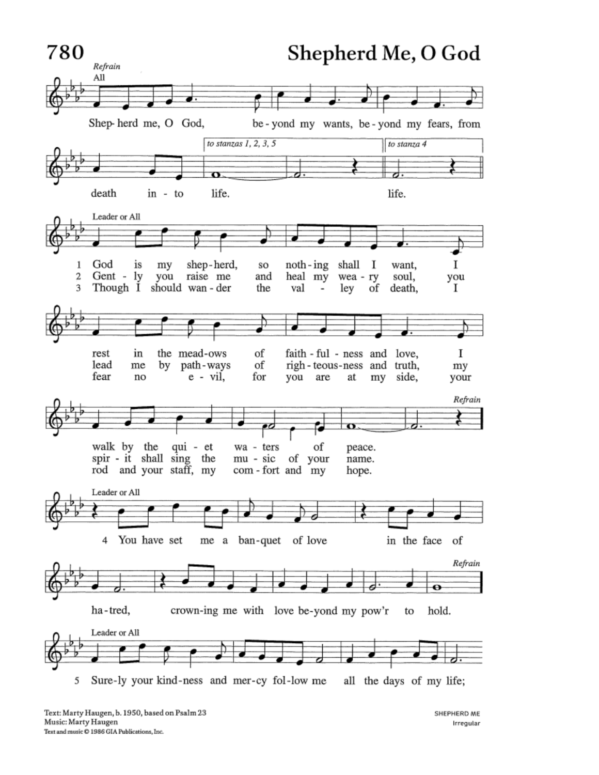

Text: Marty Haugen, b. 1950, based on Psalm 23 Music: Marty Haugen Text and music  $O$  1986 GIA Publications, Inc.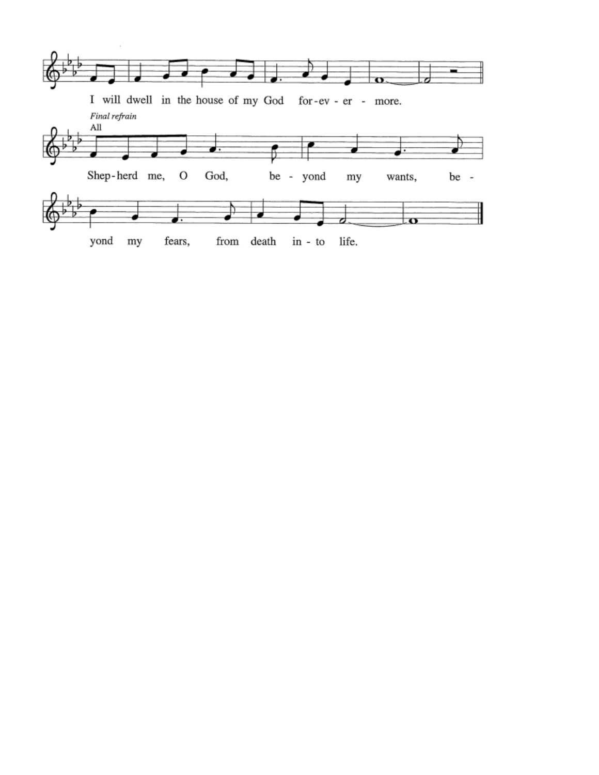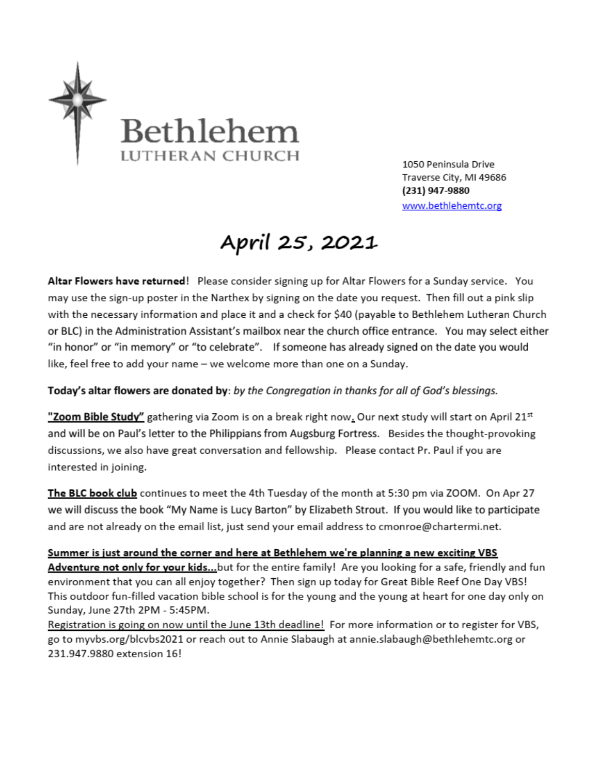

1050 Peninsula Drive Traverse City, MI 49686 (231) 947-9880 www.bethlehemtc.org

# April 25, 2021

Altar Flowers have returned! Please consider signing up for Altar Flowers for a Sunday service. You may use the sign-up poster in the Narthex by signing on the date you request. Then fill out a pink slip with the necessary information and place it and a check for \$40 (payable to Bethlehem Lutheran Church or BLC) in the Administration Assistant's mailbox near the church office entrance. You may select either "in honor" or "in memory" or "to celebrate". If someone has already signed on the date you would like, feel free to add your name - we welcome more than one on a Sunday.

Today's altar flowers are donated by: by the Congregation in thanks for all of God's blessings.

"Zoom Bible Study" gathering via Zoom is on a break right now. Our next study will start on April 21st and will be on Paul's letter to the Philippians from Augsburg Fortress. Besides the thought-provoking discussions, we also have great conversation and fellowship. Please contact Pr. Paul if you are interested in joining.

The BLC book club continues to meet the 4th Tuesday of the month at 5:30 pm via ZOOM. On Apr 27 we will discuss the book "My Name is Lucy Barton" by Elizabeth Strout. If you would like to participate and are not already on the email list, just send your email address to cmonroe@chartermi.net.

Summer is just around the corner and here at Bethlehem we're planning a new exciting VBS Adventure not only for your kids...but for the entire family! Are you looking for a safe, friendly and fun environment that you can all enjoy together? Then sign up today for Great Bible Reef One Day VBS! This outdoor fun-filled vacation bible school is for the young and the young at heart for one day only on Sunday, June 27th 2PM - 5:45PM.

Registration is going on now until the June 13th deadline! For more information or to register for VBS, go to myvbs.org/blcvbs2021 or reach out to Annie Slabaugh at annie.slabaugh@bethlehemtc.org or 231.947.9880 extension 16!